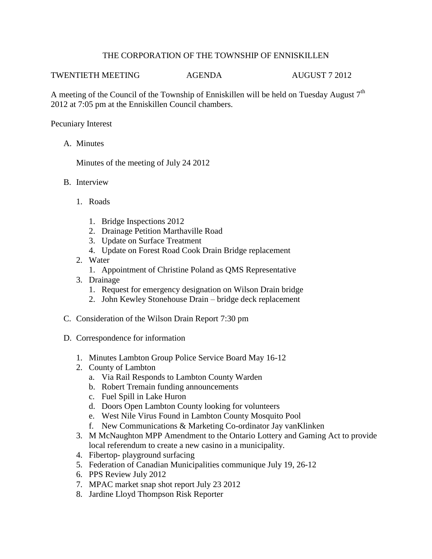## THE CORPORATION OF THE TOWNSHIP OF ENNISKILLEN

## TWENTIETH MEETING AGENDA AUGUST 7 2012

A meeting of the Council of the Township of Enniskillen will be held on Tuesday August  $7<sup>th</sup>$ 2012 at 7:05 pm at the Enniskillen Council chambers.

Pecuniary Interest

A. Minutes

Minutes of the meeting of July 24 2012

- B. Interview
	- 1. Roads
		- 1. Bridge Inspections 2012
		- 2. Drainage Petition Marthaville Road
		- 3. Update on Surface Treatment
		- 4. Update on Forest Road Cook Drain Bridge replacement
	- 2. Water
		- 1. Appointment of Christine Poland as QMS Representative
	- 3. Drainage
		- 1. Request for emergency designation on Wilson Drain bridge
		- 2. John Kewley Stonehouse Drain bridge deck replacement
- C. Consideration of the Wilson Drain Report 7:30 pm
- D. Correspondence for information
	- 1. Minutes Lambton Group Police Service Board May 16-12
	- 2. County of Lambton
		- a. Via Rail Responds to Lambton County Warden
		- b. Robert Tremain funding announcements
		- c. Fuel Spill in Lake Huron
		- d. Doors Open Lambton County looking for volunteers
		- e. West Nile Virus Found in Lambton County Mosquito Pool
		- f. New Communications & Marketing Co-ordinator Jay vanKlinken
	- 3. M McNaughton MPP Amendment to the Ontario Lottery and Gaming Act to provide local referendum to create a new casino in a municipality.
	- 4. Fibertop- playground surfacing
	- 5. Federation of Canadian Municipalities communique July 19, 26-12
	- 6. PPS Review July 2012
	- 7. MPAC market snap shot report July 23 2012
	- 8. Jardine Lloyd Thompson Risk Reporter